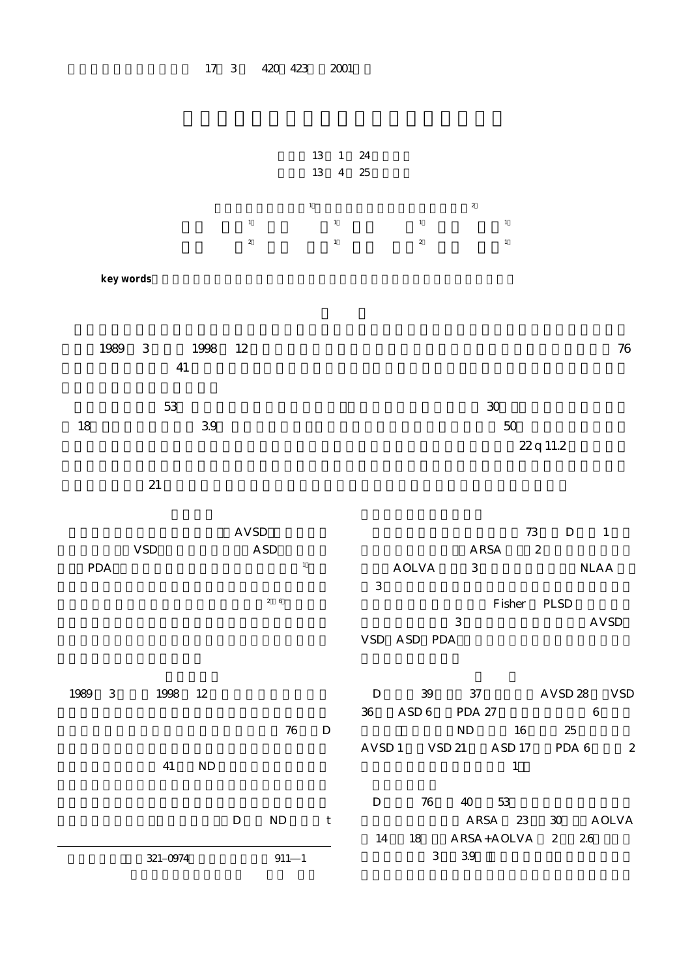

 $\begin{array}{lllll} \text{D} & \text{N}\text{D} & \text{t} \end{array}$ D 76 40 53 ARSA 23 30 AOLVA 14 18 ARSA+AOLVA 2 26  $3 \quad 39$ 

別刷請求先:(〒321 0974)宇都宮市竹林町 911―1

17 3 420 423 2001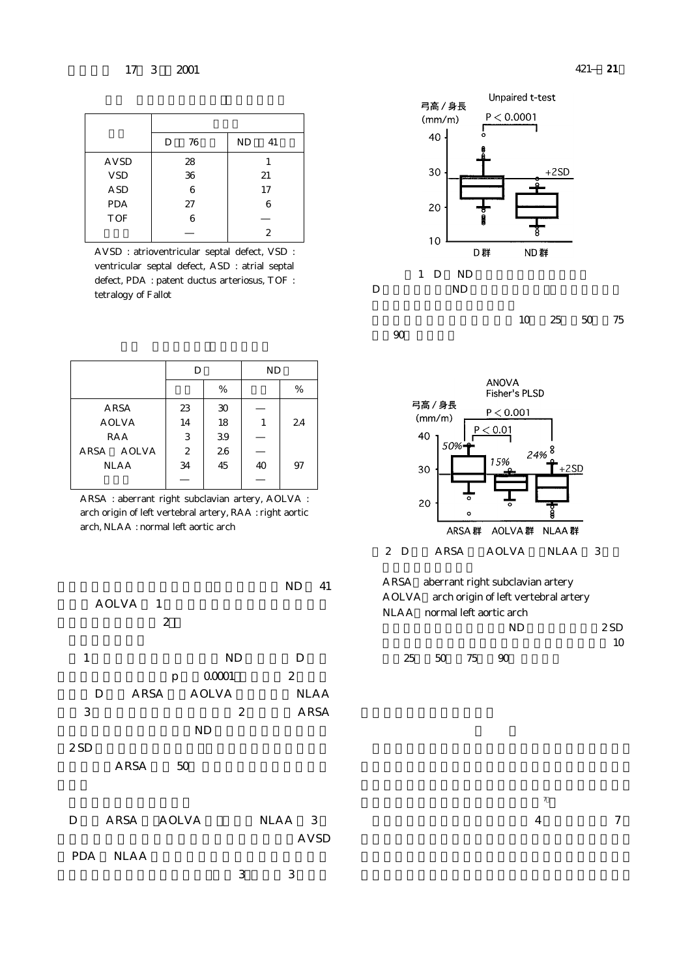|             | 76<br>D | ND<br>41 |
|-------------|---------|----------|
| <b>AVSD</b> | 28      |          |
| <b>VSD</b>  | 36      | 21       |
| <b>ASD</b>  | 6       | 17       |
| <b>PDA</b>  | 27      | 6        |
| <b>TOF</b>  | 6       |          |
|             |         | 2        |

AVSD : atrioventricular septal defect, VSD : ventricular septal defect, ASD : atrial septal defect, PDA : patent ductus arteriosus, TOF : tetralogy of Fallot

|              | D            |    | <b>ND</b> |    |
|--------------|--------------|----|-----------|----|
|              |              | %  |           | %  |
| ARSA         | 23           | 30 |           |    |
| <b>AOLVA</b> | 14           | 18 | 1         | 24 |
| RAA          | 3            | 39 |           |    |
| ARSA AOLVA   | $\mathbf{2}$ | 26 |           |    |
| <b>NLAA</b>  | 34           | 45 | 40        | 97 |
|              |              |    |           |    |

ARSA : aberrant right subclavian artery, AOLVA : arch origin of left vertebral artery, RAA : right aortic arch, NLAA : normal left aortic arch

|                           | 41<br>ND       |
|---------------------------|----------------|
| AOLVA 1                   |                |
| 2                         |                |
|                           |                |
| $\mathbf{1}$<br><b>ND</b> | D              |
| 00001<br>p                | $\overline{2}$ |
| AOLVA<br>ARSA<br>D        | <b>NLAA</b>    |
| 3<br>2                    | ARSA           |
| <b>ND</b>                 |                |
| 2SD                       |                |
| ARSA<br>50                |                |
|                           |                |
|                           |                |
| ARSA AOLVA<br>D           | NLAA 3         |
|                           | AVSD           |
| PDA NLAA                  |                |
| 3                         | 3              |
|                           |                |



%,90% を表す.



ARSA aberrant right subclavian artery AOLVA:arch origin of left vertebral artery NLAA:normal left aortic arch  $ND$   $2SD$  $10$ 

25 50 75 90

 $\sim$  7) and 7) and 7) and 7) and 7) and 7) and 7) and 7) and 7) and 7) and 7) and 7) and 7) and 7) and 7) and 7) and 7) and 7) and 7) and 7) and 7) and 7) and 7) and 7) and 7) and 7) and 7) and 7) and 7) and 7) and 7) and

右鎖骨下動脈起始異常は右側第 4 大動脈弓と第 7 節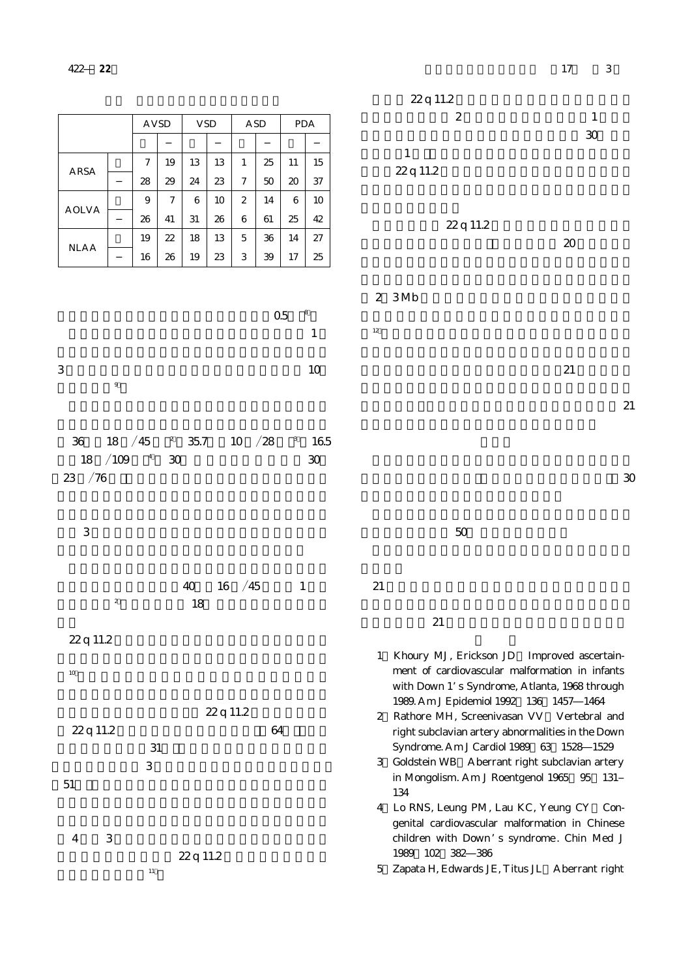|                                          |                       |                    |              |            |                       |          |              |               | 22q 11.2                                                                                                                                                                                                                                                                                                                                                                                                                                                              |
|------------------------------------------|-----------------------|--------------------|--------------|------------|-----------------------|----------|--------------|---------------|-----------------------------------------------------------------------------------------------------------------------------------------------------------------------------------------------------------------------------------------------------------------------------------------------------------------------------------------------------------------------------------------------------------------------------------------------------------------------|
|                                          |                       | <b>AVSD</b>        |              | <b>VSD</b> |                       | ASD      |              | PDA           | $\boldsymbol{2}$<br>$\mathbf{1}$<br>30                                                                                                                                                                                                                                                                                                                                                                                                                                |
| ARSA                                     | 7                     | 19                 | 13           | 13         | $\mathbf{1}$          | 25       | 11           | 15            | $\mathbf{1}$<br>22q 11.2                                                                                                                                                                                                                                                                                                                                                                                                                                              |
| AOLVA                                    | 28<br>9               | 29<br>7            | 24<br>6      | 23<br>10   | 7<br>$\boldsymbol{2}$ | 50<br>14 | 20<br>6      | 37<br>10      |                                                                                                                                                                                                                                                                                                                                                                                                                                                                       |
| <b>NLAA</b>                              | 26<br>19              | 41<br>22           | 31<br>18     | 26<br>13   | 6<br>5                | 61<br>36 | 25<br>14     | 42<br>27      | 22q 11.2<br>20                                                                                                                                                                                                                                                                                                                                                                                                                                                        |
|                                          | 16                    | 26                 | 19           | 23         | 3                     | 39       | 17<br>$05\,$ | 25<br>8       | 2 3Mb                                                                                                                                                                                                                                                                                                                                                                                                                                                                 |
|                                          |                       |                    |              |            |                       |          |              | $\mathbf{1}$  | $12\,$                                                                                                                                                                                                                                                                                                                                                                                                                                                                |
| $\,3$<br>$\boldsymbol{9}$                |                       |                    |              |            |                       |          |              | 10            | 21                                                                                                                                                                                                                                                                                                                                                                                                                                                                    |
|                                          |                       |                    |              |            |                       |          |              |               | 21                                                                                                                                                                                                                                                                                                                                                                                                                                                                    |
| $3\!6$<br>18<br>/109<br>18<br>$23 \t/76$ | /45<br>$\overline{a}$ | $\mathbf{z}$<br>30 | $35.7\,$     |            | $10 \t/28$            |          | $^{\rm 3}$   | 165<br>$30\,$ | $\mathcal{X}$                                                                                                                                                                                                                                                                                                                                                                                                                                                         |
| $\ensuremath{\mathsf{3}}$                |                       |                    |              |            |                       |          |              |               | 50                                                                                                                                                                                                                                                                                                                                                                                                                                                                    |
| $\boldsymbol{2}$                         |                       |                    | $40\,$<br>18 | 16         | $\frac{1}{45}$        |          | $\mathbf{1}$ |               | 21<br>21                                                                                                                                                                                                                                                                                                                                                                                                                                                              |
| 22q 11.2<br>$10\,$<br>22q 11.2<br>$51\,$ | $\,3$                 | $31\,$             |              | 22 q 11.2  |                       | 64       |              |               | 1 Khoury MJ, Erickson JD Improved ascertain-<br>ment of cardiovascular malformation in infants<br>with Down 1's Syndrome, Atlanta, 1968 through<br>1989. Am J Epidemiol 1992 136 1457 1464<br>Rathore MH, Screenivasan VV<br>Vertebral and<br>$\mathbf{2}$<br>right subclavian artery abnormalities in the Down<br>Syndrome. Am J Cardiol 1989 63 1528 1529<br>3 Goldstein WB Aberrant right subclavian artery<br>in Mongolism. Am J Roentgenol 1965 95<br>131<br>134 |

4 3 22 q 11.2

 $\sim$  11) and  $\sim$  11) and  $\sim$ 



- houry MJ, Erickson JD Improved ascertainment of cardiovascular malformation in infants ith Down 1's Syndrome, Atlanta, 1968 through 1989. Am J Epidemiol 1992;136:1457―1464
- athore MH, Screenivasan VV Vertebral and ght subclavian artery abnormalities in the Down vndrome. Am J Cardiol 1989 63 1528 1529
- 3)Goldstein WB:Aberrant right subclavian artery Mongolism. Am J Roentgenol 1965 95 131 4
- 4 Lo RNS, Leung PM, Lau KC, Yeung CY Congenital cardiovascular malformation in Chinese children with Down's syndrome. Chin Med J 1989;102:382―386

5)Zapata H, Edwards JE, Titus JL:Aberrant right